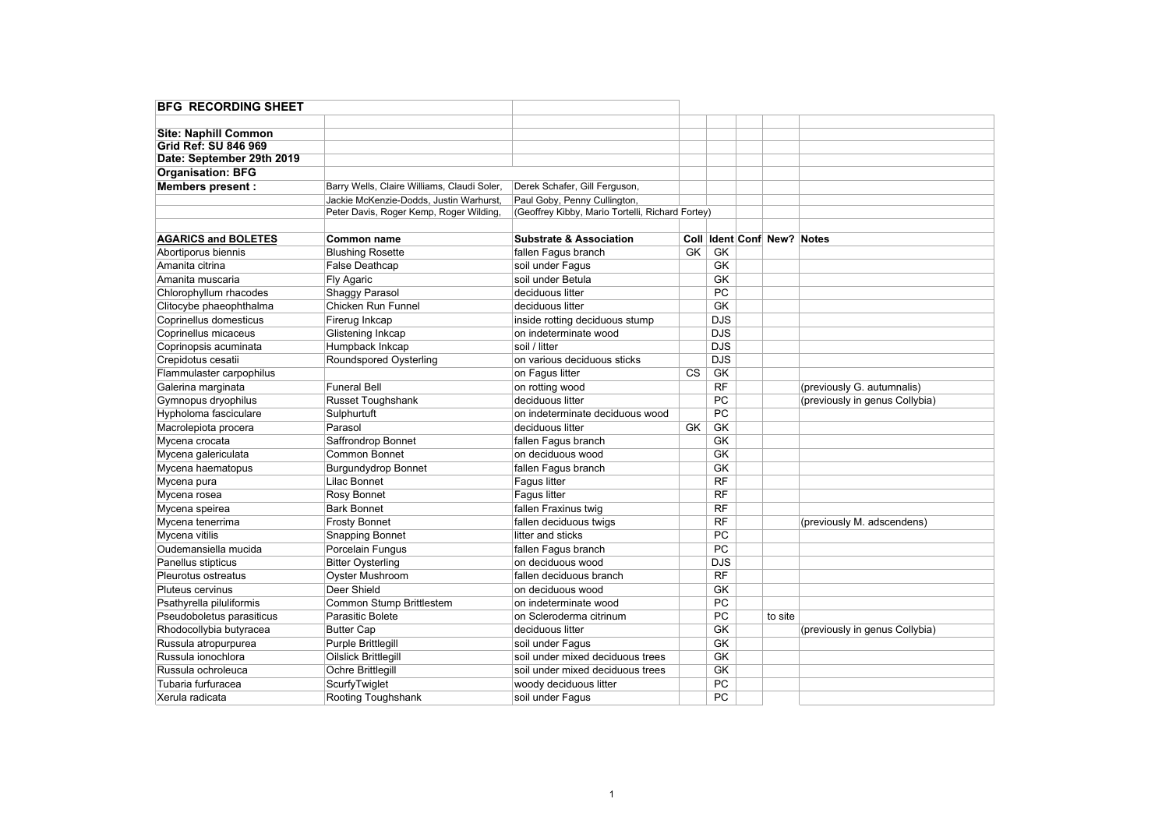| <b>Site: Naphill Common</b> |                                             |                                                  |                        |                 |                                |                                |
|-----------------------------|---------------------------------------------|--------------------------------------------------|------------------------|-----------------|--------------------------------|--------------------------------|
| Grid Ref: SU 846 969        |                                             |                                                  |                        |                 |                                |                                |
| Date: September 29th 2019   |                                             |                                                  |                        |                 |                                |                                |
| <b>Organisation: BFG</b>    |                                             |                                                  |                        |                 |                                |                                |
| Members present :           | Barry Wells, Claire Williams, Claudi Soler, | Derek Schafer, Gill Ferguson,                    |                        |                 |                                |                                |
|                             | Jackie McKenzie-Dodds, Justin Warhurst.     | Paul Goby, Penny Cullington,                     |                        |                 |                                |                                |
|                             | Peter Davis, Roger Kemp, Roger Wilding,     | (Geoffrey Kibby, Mario Tortelli, Richard Fortey) |                        |                 |                                |                                |
| <b>AGARICS and BOLETES</b>  | Common name                                 | <b>Substrate &amp; Association</b>               |                        |                 | Coll   Ident Conf New?   Notes |                                |
| Abortiporus biennis         | <b>Blushing Rosette</b>                     | fallen Fagus branch                              | GK                     | GK              |                                |                                |
| Amanita citrina             | False Deathcap                              | soil under Fagus                                 |                        | GK              |                                |                                |
| Amanita muscaria            | Fly Agaric                                  | soil under Betula                                |                        | GK              |                                |                                |
| Chlorophyllum rhacodes      | Shaggy Parasol                              | deciduous litter                                 |                        | PC              |                                |                                |
| Clitocybe phaeophthalma     | Chicken Run Funnel                          | deciduous litter                                 |                        | GK              |                                |                                |
| Coprinellus domesticus      | Firerug Inkcap                              | inside rotting deciduous stump                   |                        | <b>DJS</b>      |                                |                                |
| Coprinellus micaceus        | Glistening Inkcap                           | on indeterminate wood                            |                        | DJS             |                                |                                |
| Coprinopsis acuminata       | Humpback Inkcap                             | soil / litter                                    |                        | <b>DJS</b>      |                                |                                |
| Crepidotus cesatii          | Roundspored Oysterling                      | on various deciduous sticks                      |                        | DJS             |                                |                                |
| Flammulaster carpophilus    |                                             | on Fagus litter                                  | $\overline{\text{cs}}$ | <b>GK</b>       |                                |                                |
| Galerina marginata          | <b>Funeral Bell</b>                         | on rotting wood                                  |                        | RF              |                                | (previously G. autumnalis)     |
| Gymnopus dryophilus         | <b>Russet Toughshank</b>                    | deciduous litter                                 |                        | PC              |                                | (previously in genus Collybia) |
| Hypholoma fasciculare       | Sulphurtuft                                 | on indeterminate deciduous wood                  |                        | PC              |                                |                                |
| Macrolepiota procera        | Parasol                                     | deciduous litter                                 | GK                     | GK              |                                |                                |
| Mycena crocata              | Saffrondrop Bonnet                          | fallen Fagus branch                              |                        | GK              |                                |                                |
| Mycena galericulata         | <b>Common Bonnet</b>                        | on deciduous wood                                |                        | GK              |                                |                                |
| Mycena haematopus           | <b>Burgundydrop Bonnet</b>                  | fallen Faqus branch                              |                        | <b>GK</b>       |                                |                                |
| Mycena pura                 | Lilac Bonnet                                | <b>Fagus litter</b>                              |                        | RF              |                                |                                |
| Mycena rosea                | Rosy Bonnet                                 | <b>Faqus litter</b>                              |                        | RF              |                                |                                |
| Mycena speirea              | <b>Bark Bonnet</b>                          | fallen Fraxinus twig                             |                        | RF              |                                |                                |
| Mycena tenerrima            | <b>Frosty Bonnet</b>                        | fallen deciduous twigs                           |                        | RF              |                                | (previously M. adscendens)     |
| Mycena vitilis              | <b>Snapping Bonnet</b>                      | litter and sticks                                |                        | PC              |                                |                                |
| Oudemansiella mucida        | Porcelain Fungus                            | fallen Fagus branch                              |                        | $\overline{PC}$ |                                |                                |
| Panellus stipticus          | <b>Bitter Oysterling</b>                    | on deciduous wood                                |                        | DJS             |                                |                                |
| Pleurotus ostreatus         | <b>Oyster Mushroom</b>                      | fallen deciduous branch                          |                        | RF              |                                |                                |
| Pluteus cervinus            | Deer Shield                                 | on deciduous wood                                |                        | <b>GK</b>       |                                |                                |
| Psathyrella piluliformis    | Common Stump Brittlestem                    | on indeterminate wood                            |                        | PC              |                                |                                |
| Pseudoboletus parasiticus   | Parasitic Bolete                            | on Scleroderma citrinum                          |                        | PC              | to site                        |                                |
| Rhodocollybia butyracea     | <b>Butter Cap</b>                           | deciduous litter                                 |                        | <b>GK</b>       |                                | (previously in genus Collybia) |
| Russula atropurpurea        | Purple Brittlegill                          | soil under Fagus                                 |                        | GK              |                                |                                |
| Russula ionochlora          | <b>Oilslick Brittlegill</b>                 | soil under mixed deciduous trees                 |                        | <b>GK</b>       |                                |                                |
| Russula ochroleuca          | Ochre Brittlegill                           | soil under mixed deciduous trees                 |                        | GK              |                                |                                |
| Tubaria furfuracea          | ScurfyTwiglet                               | woody deciduous litter                           |                        | PC              |                                |                                |
| Xerula radicata             | Rooting Toughshank                          | soil under Fagus                                 |                        | PC              |                                |                                |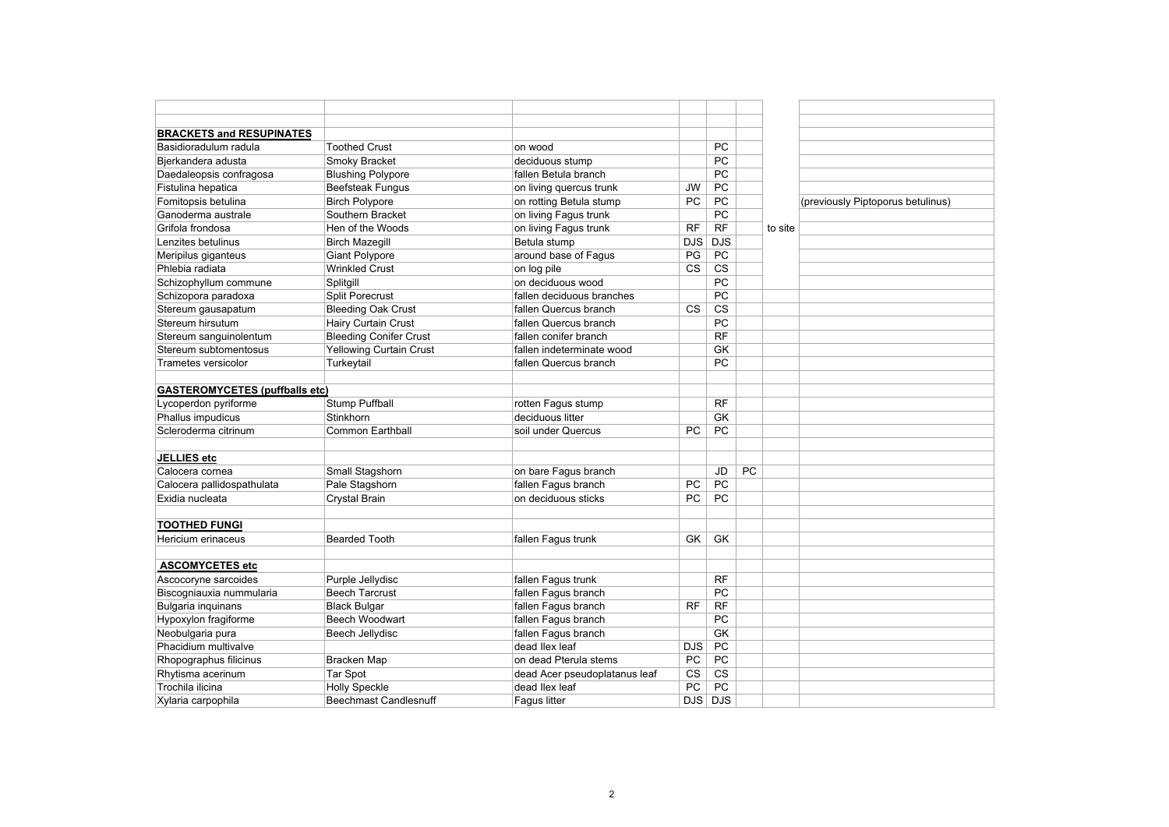| <b>BRACKETS and RESUPINATES</b>       |                                |                               |            |            |    |         |                                   |
|---------------------------------------|--------------------------------|-------------------------------|------------|------------|----|---------|-----------------------------------|
| Basidioradulum radula                 | <b>Toothed Crust</b>           | on wood                       |            | <b>PC</b>  |    |         |                                   |
| Bjerkandera adusta                    | Smoky Bracket                  | deciduous stump               |            | PC         |    |         |                                   |
| Daedaleopsis confragosa               | <b>Blushing Polypore</b>       | fallen Betula branch          |            | PC         |    |         |                                   |
| Fistulina hepatica                    | <b>Beefsteak Fungus</b>        | on living quercus trunk       | JW         | PC         |    |         |                                   |
| Fomitopsis betulina                   | <b>Birch Polypore</b>          | on rotting Betula stump       | PC         | <b>PC</b>  |    |         | (previously Piptoporus betulinus) |
| Ganoderma australe                    | Southern Bracket               | on living Fagus trunk         |            | PC         |    |         |                                   |
| Grifola frondosa                      | Hen of the Woods               | on living Fagus trunk         | <b>RF</b>  | <b>RF</b>  |    | to site |                                   |
| Lenzites betulinus                    | <b>Birch Mazegill</b>          | Betula stump                  | <b>DJS</b> | DJS        |    |         |                                   |
| Meripilus giganteus                   | <b>Giant Polypore</b>          | around base of Fagus          | PG         | PC         |    |         |                                   |
| Phlebia radiata                       | <b>Wrinkled Crust</b>          | on log pile                   | <b>CS</b>  | <b>CS</b>  |    |         |                                   |
| Schizophyllum commune                 | Splitgill                      | on deciduous wood             |            | PC         |    |         |                                   |
| Schizopora paradoxa                   | <b>Split Porecrust</b>         | fallen deciduous branches     |            | PC         |    |         |                                   |
| Stereum gausapatum                    | <b>Bleeding Oak Crust</b>      | fallen Quercus branch         | <b>CS</b>  | <b>CS</b>  |    |         |                                   |
| Stereum hirsutum                      | <b>Hairy Curtain Crust</b>     | fallen Quercus branch         |            | PC         |    |         |                                   |
| Stereum sanguinolentum                | <b>Bleeding Conifer Crust</b>  | fallen conifer branch         |            | <b>RF</b>  |    |         |                                   |
| Stereum subtomentosus                 | <b>Yellowing Curtain Crust</b> | fallen indeterminate wood     |            | GK         |    |         |                                   |
| Trametes versicolor                   | Turkeytail                     | fallen Quercus branch         |            | PC         |    |         |                                   |
|                                       |                                |                               |            |            |    |         |                                   |
| <b>GASTEROMYCETES (puffballs etc)</b> |                                |                               |            |            |    |         |                                   |
| Lycoperdon pyriforme                  | Stump Puffball                 | rotten Fagus stump            |            | <b>RF</b>  |    |         |                                   |
| Phallus impudicus                     | Stinkhorn                      | deciduous litter              |            | <b>GK</b>  |    |         |                                   |
| Scleroderma citrinum                  | <b>Common Earthball</b>        | soil under Quercus            | PC         | PC         |    |         |                                   |
|                                       |                                |                               |            |            |    |         |                                   |
| JELLIES etc                           |                                |                               |            |            |    |         |                                   |
| Calocera cornea                       | Small Stagshorn                | on bare Fagus branch          |            | JD         | PC |         |                                   |
| Calocera pallidospathulata            | Pale Stagshorn                 | fallen Fagus branch           | PC         | PC         |    |         |                                   |
| Exidia nucleata                       | Crystal Brain                  | on deciduous sticks           | PC         | PC         |    |         |                                   |
|                                       |                                |                               |            |            |    |         |                                   |
| <b>TOOTHED FUNGI</b>                  |                                |                               |            |            |    |         |                                   |
| Hericium erinaceus                    | <b>Bearded Tooth</b>           | fallen Fagus trunk            | <b>GK</b>  | GK         |    |         |                                   |
|                                       |                                |                               |            |            |    |         |                                   |
| <b>ASCOMYCETES etc</b>                |                                |                               |            |            |    |         |                                   |
| Ascocoryne sarcoides                  | Purple Jellydisc               | fallen Fagus trunk            |            | <b>RF</b>  |    |         |                                   |
| Biscogniauxia nummularia              | <b>Beech Tarcrust</b>          | fallen Fagus branch           |            | PC         |    |         |                                   |
| Bulgaria inquinans                    | <b>Black Bulgar</b>            | fallen Fagus branch           | <b>RF</b>  | <b>RF</b>  |    |         |                                   |
| Hypoxylon fragiforme                  | <b>Beech Woodwart</b>          | fallen Fagus branch           |            | PC         |    |         |                                   |
| Neobulgaria pura                      | Beech Jellydisc                | fallen Fagus branch           |            | GK         |    |         |                                   |
| Phacidium multivalve                  |                                | dead llex leaf                | <b>DJS</b> | PC         |    |         |                                   |
| Rhopographus filicinus                | Bracken Map                    | on dead Pterula stems         | PC         | PC         |    |         |                                   |
| Rhytisma acerinum                     | <b>Tar Spot</b>                | dead Acer pseudoplatanus leaf | <b>CS</b>  | <b>CS</b>  |    |         |                                   |
| Trochila ilicina                      | <b>Holly Speckle</b>           | dead llex leaf                | PC         | PC         |    |         |                                   |
| Xylaria carpophila                    | <b>Beechmast Candlesnuff</b>   | Faqus litter                  | <b>DJS</b> | <b>DJS</b> |    |         |                                   |
|                                       |                                |                               |            |            |    |         |                                   |